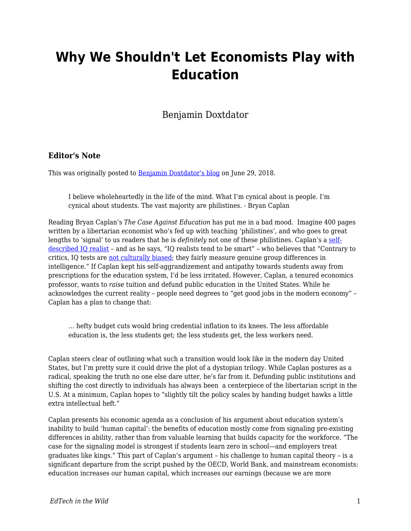# **Why We Shouldn't Let Economists Play with Education**

Benjamin Doxtdator

#### **Editor's Note**

This was originally posted to **Benjamin Doxtdator's blog** on June 29, 2018.

I believe wholeheartedly in the life of the mind. What I'm cynical about is people. I'm cynical about students. The vast majority are philistines. - Bryan Caplan

Reading Bryan Caplan's *The Case Against Education* has put me in a bad mood. Imagine 400 pages written by a libertarian economist who's fed up with teaching 'philistines', and who goes to great lengths to 'signal' to us readers that he is *definitely* not one of these philistines. Caplan's a [self](http://www.econlib.org/archives/2017/04/iq_with_conscie.html)[described IQ realist](http://www.econlib.org/archives/2017/04/iq_with_conscie.html) – and as he says, "IQ realists tend to be smart" – who believes that "Contrary to critics, IQ tests are [not culturally biased](http://psycnet.apa.org/journals/spq/14/3/208.pdf); they fairly measure genuine group differences in intelligence." If Caplan kept his self-aggrandizement and antipathy towards students away from prescriptions for the education system, I'd be less irritated. However, Caplan, a tenured economics professor, wants to *raise* tuition and defund public education in the United States. While he acknowledges the current reality – people need degrees to "get good jobs in the modern economy" – Caplan has a plan to change that:

… hefty budget cuts would bring credential inflation to its knees. The less affordable education is, the less students get; the less students get, the less workers need.

Caplan steers clear of outlining what such a transition would look like in the modern day United States, but I'm pretty sure it could drive the plot of a dystopian trilogy. While Caplan postures as a radical, speaking the truth no one else dare utter, he's far from it. Defunding public institutions and shifting the cost directly to individuals has always been a centerpiece of the libertarian script in the U.S. At a minimum, Caplan hopes to "slightly tilt the policy scales by handing budget hawks a little extra intellectual heft."

Caplan presents his economic agenda as a conclusion of his argument about education system's inability to build 'human capital': the benefits of education mostly come from signaling pre-existing differences in ability, rather than from valuable learning that builds capacity for the workforce. "The case for the signaling model is strongest if students learn zero in school—and employers treat graduates like kings." This part of Caplan's argument – his challenge to human capital theory – is a significant departure from the script pushed by the OECD, World Bank, and mainstream economists: education increases our human capital, which increases our earnings (because we are more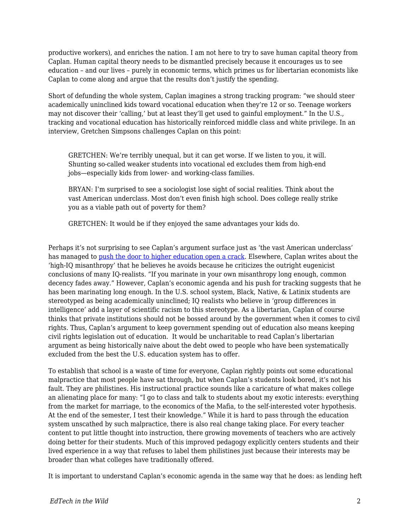productive workers), and enriches the nation. I am not here to try to save human capital theory from Caplan. Human capital theory needs to be dismantled precisely because it encourages us to see education – and our lives – purely in economic terms, which primes us for libertarian economists like Caplan to come along and argue that the results don't justify the spending.

Short of defunding the whole system, Caplan imagines a strong tracking program: "we should steer academically uninclined kids toward vocational education when they're 12 or so. Teenage workers may not discover their 'calling,' but at least they'll get used to gainful employment." In the U.S., tracking and vocational education has historically reinforced middle class and white privilege. In an interview, Gretchen Simpsons challenges Caplan on this point:

GRETCHEN: We're terribly unequal, but it can get worse. If we listen to you, it will. Shunting so-called weaker students into vocational ed excludes them from high-end jobs—especially kids from lower- and working-class families.

BRYAN: I'm surprised to see a sociologist lose sight of social realities. Think about the vast American underclass. Most don't even finish high school. Does college really strike you as a viable path out of poverty for them?

GRETCHEN: It would be if they enjoyed the same advantages your kids do.

Perhaps it's not surprising to see Caplan's argument surface just as 'the vast American underclass' has managed to [push the door to higher education open a crack](https://www.americanprogress.org/issues/education-postsecondary/reports/2016/10/13/145098/closed-doors-black-and-latino-students-are-excluded-from-top-public-universities/). Elsewhere, Caplan writes about the 'high-IQ misanthropy' that he believes he avoids because he criticizes the outright eugenicist conclusions of many IQ-realists. "If you marinate in your own misanthropy long enough, common decency fades away." However, Caplan's economic agenda and his push for tracking suggests that he has been marinating long enough. In the U.S. school system, Black, Native, & Latinix students are stereotyped as being academically uninclined; IQ realists who believe in 'group differences in intelligence' add a layer of scientific racism to this stereotype. As a libertarian, Caplan of course thinks that private institutions should not be bossed around by the government when it comes to civil rights. Thus, Caplan's argument to keep government spending out of education also means keeping civil rights legislation out of education. It would be uncharitable to read Caplan's libertarian argument as being historically naive about the debt owed to people who have been systematically excluded from the best the U.S. education system has to offer.

To establish that school is a waste of time for everyone, Caplan rightly points out some educational malpractice that most people have sat through, but when Caplan's students look bored, it's not his fault. They are philistines. His instructional practice sounds like a caricature of what makes college an alienating place for many: "I go to class and talk to students about my exotic interests: everything from the market for marriage, to the economics of the Mafia, to the self-interested voter hypothesis. At the end of the semester, I test their knowledge." While it is hard to pass through the education system unscathed by such malpractice, there is also real change taking place. For every teacher content to put little thought into instruction, there growing movements of teachers who are actively doing better for their students. Much of this improved pedagogy explicitly centers students and their lived experience in a way that refuses to label them philistines just because their interests may be broader than what colleges have traditionally offered.

It is important to understand Caplan's economic agenda in the same way that he does: as lending heft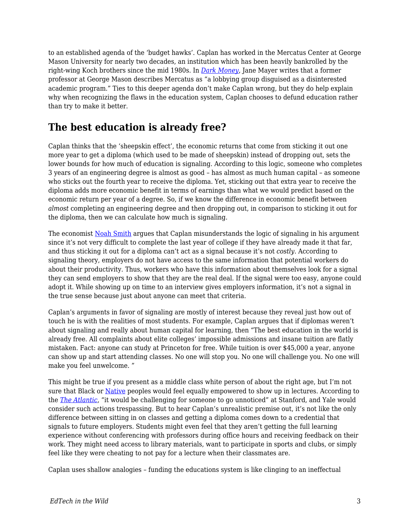to an established agenda of the 'budget hawks'. Caplan has worked in the Mercatus Center at George Mason University for nearly two decades, an institution which has been heavily bankrolled by the right-wing Koch brothers since the mid 1980s. In *[Dark Money](https://www.penguinrandomhouse.com/books/215462/dark-money-by-jane-mayer/9780307947901/)*, Jane Mayer writes that a former professor at George Mason describes Mercatus as "a lobbying group disguised as a disinterested academic program." Ties to this deeper agenda don't make Caplan wrong, but they do help explain why when recognizing the flaws in the education system, Caplan chooses to defund education rather than try to make it better.

### **The best education is already free?**

Caplan thinks that the 'sheepskin effect', the economic returns that come from sticking it out one more year to get a diploma (which used to be made of sheepskin) instead of dropping out, sets the lower bounds for how much of education is signaling. According to this logic, someone who completes 3 years of an engineering degree is almost as good – has almost as much human capital – as someone who sticks out the fourth year to receive the diploma. Yet, sticking out that extra year to receive the diploma adds more economic benefit in terms of earnings than what we would predict based on the economic return per year of a degree. So, if we know the difference in economic benefit between *almost* completing an engineering degree and then dropping out, in comparison to sticking it out for the diploma, then we can calculate how much is signaling.

The economist [Noah Smith](https://noahpinionblog.blogspot.com/2017/12/sheepskin-effects-signals-without.html) argues that Caplan misunderstands the logic of signaling in his argument since it's not very difficult to complete the last year of college if they have already made it that far, and thus sticking it out for a diploma can't act as a signal because it's not *costly*. According to signaling theory, employers do not have access to the same information that potential workers do about their productivity. Thus, workers who have this information about themselves look for a signal they can send employers to show that they are the real deal. If the signal were too easy, anyone could adopt it. While showing up on time to an interview gives employers information, it's not a signal in the true sense because just about anyone can meet that criteria.

Caplan's arguments in favor of signaling are mostly of interest because they reveal just how out of touch he is with the realities of most students. For example, Caplan argues that if diplomas weren't about signaling and really about human capital for learning, then "The best education in the world is already free. All complaints about elite colleges' impossible admissions and insane tuition are flatly mistaken. Fact: anyone can study at Princeton for free. While tuition is over \$45,000 a year, anyone can show up and start attending classes. No one will stop you. No one will challenge you. No one will make you feel unwelcome. "

This might be true if you present as a middle class white person of about the right age, but I'm not sure that Black or [Native](https://eu.usatoday.com/story/news/nation-now/2018/05/04/body-cam-campus-police-question-2-native-americans/582729002/) peoples would feel equally empowered to show up in lectures. According to the *[The Atlantic](https://www.theatlantic.com/business/archive/2015/03/the-man-who-snuck-into-the-ivy-league-without-paying-a-thing/386917/)*, "it would be challenging for someone to go unnoticed" at Stanford, and Yale would consider such actions trespassing. But to hear Caplan's unrealistic premise out, it's not like the only difference between sitting in on classes and getting a diploma comes down to a credential that signals to future employers. Students might even feel that they aren't getting the full learning experience without conferencing with professors during office hours and receiving feedback on their work. They might need access to library materials, want to participate in sports and clubs, or simply feel like they were cheating to not pay for a lecture when their classmates are.

Caplan uses shallow analogies – funding the educations system is like clinging to an ineffectual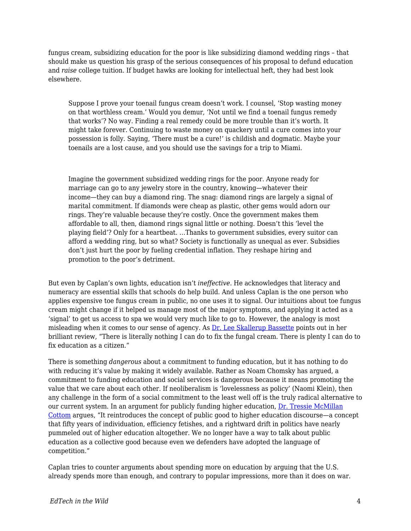fungus cream, subsidizing education for the poor is like subsidizing diamond wedding rings – that should make us question his grasp of the serious consequences of his proposal to defund education and *raise* college tuition. If budget hawks are looking for intellectual heft, they had best look elsewhere.

Suppose I prove your toenail fungus cream doesn't work. I counsel, 'Stop wasting money on that worthless cream.' Would you demur, 'Not until we find a toenail fungus remedy that works'? No way. Finding a real remedy could be more trouble than it's worth. It might take forever. Continuing to waste money on quackery until a cure comes into your possession is folly. Saying, 'There must be a cure!' is childish and dogmatic. Maybe your toenails are a lost cause, and you should use the savings for a trip to Miami.

Imagine the government subsidized wedding rings for the poor. Anyone ready for marriage can go to any jewelry store in the country, knowing—whatever their income—they can buy a diamond ring. The snag: diamond rings are largely a signal of marital commitment. If diamonds were cheap as plastic, other gems would adorn our rings. They're valuable because they're costly. Once the government makes them affordable to all, then, diamond rings signal little or nothing. Doesn't this 'level the playing field'? Only for a heartbeat. …Thanks to government subsidies, every suitor can afford a wedding ring, but so what? Society is functionally as unequal as ever. Subsidies don't just hurt the poor by fueling credential inflation. They reshape hiring and promotion to the poor's detriment.

But even by Caplan's own lights, education isn't *ineffective*. He acknowledges that literacy and numeracy are essential skills that schools do help build. And unless Caplan is the one person who applies expensive toe fungus cream in public, no one uses it to signal. Our intuitions about toe fungus cream might change if it helped us manage most of the major symptoms, and applying it acted as a 'signal' to get us access to spa we would very much like to go to. However, the analogy is most misleading when it comes to our sense of agency. As [Dr. Lee Skallerup Bassette](http://diverseeducation.com/article/113230/) points out in her brilliant review, "There is literally nothing I can do to fix the fungal cream. There is plenty I can do to fix education as a citizen."

There is something *dangerous* about a commitment to funding education, but it has nothing to do with reducing it's value by making it widely available. Rather as Noam Chomsky has argued, a commitment to funding education and social services is dangerous because it means promoting the value that we care about each other. If neoliberalism is 'lovelessness as policy' (Naomi Klein), then any challenge in the form of a social commitment to the least well off is the truly radical alternative to our current system. In an argument for publicly funding higher education, [Dr. Tressie McMillan](https://www.dissentmagazine.org/article/tressie-mcmillan-cottom-why-free-college-necessary) [Cottom](https://www.dissentmagazine.org/article/tressie-mcmillan-cottom-why-free-college-necessary) argues, "It reintroduces the concept of public good to higher education discourse—a concept that fifty years of individuation, efficiency fetishes, and a rightward drift in politics have nearly pummeled out of higher education altogether. We no longer have a way to talk about public education as a collective good because even we defenders have adopted the language of competition."

Caplan tries to counter arguments about spending more on education by arguing that the U.S. already spends more than enough, and contrary to popular impressions, more than it does on war.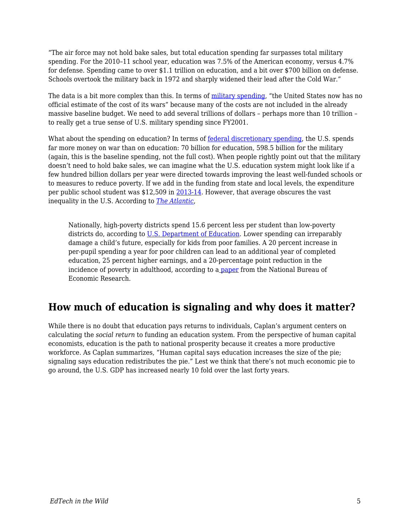"The air force may not hold bake sales, but total education spending far surpasses total military spending. For the 2010–11 school year, education was 7.5% of the American economy, versus 4.7% for defense. Spending came to over \$1.1 trillion on education, and a bit over \$700 billion on defense. Schools overtook the military back in 1972 and sharply widened their lead after the Cold War."

The data is a bit more complex than this. In terms of [military spending](https://www.csis.org/analysis/us-military-spending-cost-wars), "the United States now has no official estimate of the cost of its wars" because many of the costs are not included in the already massive baseline budget. We need to add several trillions of dollars – perhaps more than 10 trillion – to really get a true sense of U.S. military spending since FY2001.

What about the spending on education? In terms of <u>federal discretionary spending</u>, the U.S. spends far more money on war than on education: 70 billion for education, 598.5 billion for the military (again, this is the baseline spending, not the full cost). When people rightly point out that the military doesn't need to hold bake sales, we can imagine what the U.S. education system might look like if a few hundred billion dollars per year were directed towards improving the least well-funded schools or to measures to reduce poverty. If we add in the funding from state and local levels, the expenditure per public school student was \$12,509 in [2013-14](https://nces.ed.gov/fastfacts/display.asp?id=66). However, that average obscures the vast inequality in the U.S. According to *[The Atlantic](https://www.theatlantic.com/business/archive/2016/08/property-taxes-and-unequal-schools/497333/)*,

Nationally, high-poverty districts spend 15.6 percent less per student than low-poverty districts do, according to [U.S. Department of Education](http://www.ed.gov/news/media-advisories/secretary-duncan-urban-league-president-morial-spotlight-states-where-education-funding-shortchanges-low-income-minority-students). Lower spending can irreparably damage a child's future, especially for kids from poor families. A 20 percent increase in per-pupil spending a year for poor children can lead to an additional year of completed education, 25 percent higher earnings, and a 20-percentage point reduction in the incidence of poverty in adulthood, according to [a paper](http://www.nber.org/papers/w20847) from the National Bureau of Economic Research.

# **How much of education is signaling and why does it matter?**

While there is no doubt that education pays returns to individuals, Caplan's argument centers on calculating the *social return* to funding an education system. From the perspective of human capital economists, education is the path to national prosperity because it creates a more productive workforce. As Caplan summarizes, "Human capital says education increases the size of the pie; signaling says education redistributes the pie." Lest we think that there's not much economic pie to go around, the U.S. GDP has increased nearly 10 fold over the last forty years.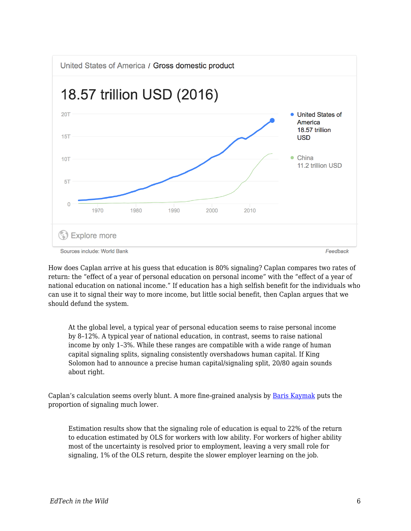

How does Caplan arrive at his guess that education is 80% signaling? Caplan compares two rates of return: the "effect of a year of personal education on personal income" with the "effect of a year of national education on national income." If education has a high selfish benefit for the individuals who can use it to signal their way to more income, but little social benefit, then Caplan argues that we should defund the system.

At the global level, a typical year of personal education seems to raise personal income by 8–12%. A typical year of national education, in contrast, seems to raise national income by only 1–3%. While these ranges are compatible with a wide range of human capital signaling splits, signaling consistently overshadows human capital. If King Solomon had to announce a precise human capital/signaling split, 20/80 again sounds about right.

Caplan's calculation seems overly blunt. A more fine-grained analysis by [Baris Kaymak](http://www.sole-jole.org/12497.pdf) puts the proportion of signaling much lower.

Estimation results show that the signaling role of education is equal to 22% of the return to education estimated by OLS for workers with low ability. For workers of higher ability most of the uncertainty is resolved prior to employment, leaving a very small role for signaling, 1% of the OLS return, despite the slower employer learning on the job.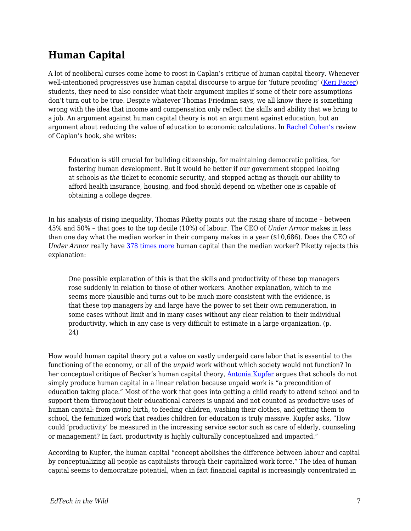# **Human Capital**

A lot of neoliberal curses come home to roost in Caplan's critique of human capital theory. Whenever well-intentioned progressives use human capital discourse to argue for 'future proofing' ([Keri Facer](https://www.amazon.ca/Learning-Futures-Education-Technology-Social/dp/0415581435)) students, they need to also consider what their argument implies if some of their core assumptions don't turn out to be true. Despite whatever Thomas Friedman says, we all know there is something wrong with the idea that income and compensation only reflect the skills and ability that we bring to a job. An argument against human capital theory is not an argument against education, but an argument about reducing the value of education to economic calculations. In [Rachel Cohen's](https://democracyjournal.org/magazine/49/is-school-a-waste-of-time/) review of Caplan's book, she writes:

Education is still crucial for building citizenship, for maintaining democratic polities, for fostering human development. But it would be better if our government stopped looking at schools as *the* ticket to economic security, and stopped acting as though our ability to afford health insurance, housing, and food should depend on whether one is capable of obtaining a college degree.

In his analysis of rising inequality, Thomas Piketty points out the rising share of income – between 45% and 50% – that goes to the top decile (10%) of labour. The CEO of *Under Armor* makes in less than one day what the median worker in their company makes in a year (\$10,686). Does the CEO of *Under Armor* really have [378 times more](https://inequality.org/great-divide/how-to-track-ceo-worker-pay-ratios/) human capital than the median worker? Piketty rejects this explanation:

One possible explanation of this is that the skills and productivity of these top managers rose suddenly in relation to those of other workers. Another explanation, which to me seems more plausible and turns out to be much more consistent with the evidence, is that these top managers by and large have the power to set their own remuneration, in some cases without limit and in many cases without any clear relation to their individual productivity, which in any case is very difficult to estimate in a large organization. (p. 24)

How would human capital theory put a value on vastly underpaid care labor that is essential to the functioning of the economy, or all of the *unpaid* work without which society would not function? In her conceptual critique of Becker's human capital theory, [Antonia Kupfer](http://eprints.soton.ac.uk/364596/1/Kupfer%202014%20Interrelation%20of%20twenty-first%20century%20education%20and%20work.pdf) argues that schools do not simply produce human capital in a linear relation because unpaid work is "a precondition of education taking place." Most of the work that goes into getting a child ready to attend school and to support them throughout their educational careers is unpaid and not counted as productive uses of human capital: from giving birth, to feeding children, washing their clothes, and getting them to school, the feminized work that readies children for education is truly massive. Kupfer asks, "How could 'productivity' be measured in the increasing service sector such as care of elderly, counseling or management? In fact, productivity is highly culturally conceptualized and impacted."

According to Kupfer, the human capital "concept abolishes the difference between labour and capital by conceptualizing all people as capitalists through their capitalized work force." The idea of human capital seems to democratize potential, when in fact financial capital is increasingly concentrated in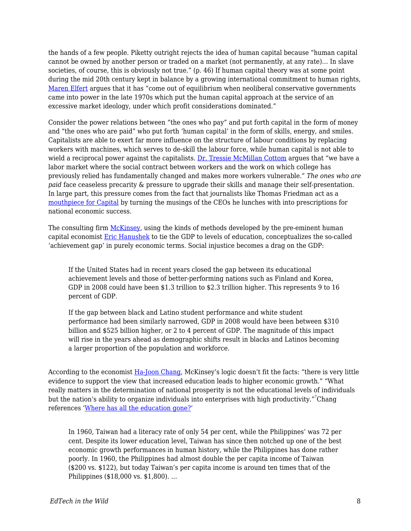the hands of a few people. Piketty outright rejects the idea of human capital because "human capital cannot be owned by another person or traded on a market (not permanently, at any rate)… In slave societies, of course, this is obviously not true." (p. 46) If human capital theory was at some point during the mid 20th century kept in balance by a growing international commitment to human rights, [Maren Elfert](https://www.amazon.com/UNESCOs-Utopia-Lifelong-Learning-Intellectual/dp/1138242527) argues that it has "come out of equilibrium when neoliberal conservative governments came into power in the late 1970s which put the human capital approach at the service of an excessive market ideology, under which profit considerations dominated."

Consider the power relations between "the ones who pay" and put forth capital in the form of money and "the ones who are paid" who put forth 'human capital' in the form of skills, energy, and smiles. Capitalists are able to exert far more influence on the structure of labour conditions by replacing workers with machines, which serves to de-skill the labour force, while human capital is not able to wield a reciprocal power against the capitalists. [Dr. Tressie McMillan Cottom](https://www.amazon.ca/Lower-Ed-Troubling-Profit-Colleges/dp/162097438X/ref=sr_1_fkmr0_1?s=books&ie=UTF8&qid=1530311976&sr=1-1-fkmr0&keywords=cotton+tressie) argues that "we have a labor market where the social contract between workers and the work on which college has previously relied has fundamentally changed and makes more workers vulnerable." *The ones who are paid* face ceaseless precarity & pressure to upgrade their skills and manage their self-presentation. In large part, this pressure comes from the fact that journalists like Thomas Friedman act as a [mouthpiece for Capital](https://www.versobooks.com/books/1024-the-imperial-messenger) by turning the musings of the CEOs he lunches with into prescriptions for national economic success.

The consulting firm [McKinsey](http://dropoutprevention.org/wp-content/uploads/2015/07/ACHIEVEMENT_GAP_REPORT_20090512.pdf), using the kinds of methods developed by the pre-eminent human capital economist [Eric Hanushek](http://hanushek.stanford.edu/publications/higher-grades-higher-gdp) to tie the GDP to levels of education, conceptualizes the so-called 'achievement gap' in purely economic terms. Social injustice becomes a drag on the GDP:

If the United States had in recent years closed the gap between its educational achievement levels and those of better-performing nations such as Finland and Korea, GDP in 2008 could have been \$1.3 trillion to \$2.3 trillion higher. This represents 9 to 16 percent of GDP.

If the gap between black and Latino student performance and white student performance had been similarly narrowed, GDP in 2008 would have been between \$310 billion and \$525 billion higher, or 2 to 4 percent of GDP. The magnitude of this impact will rise in the years ahead as demographic shifts result in blacks and Latinos becoming a larger proportion of the population and workforce.

According to the economist [Ha-Joon Chang](https://www.amazon.ca/Things-They-Dont-About-Capitalism/dp/1608193381), McKinsey's logic doesn't fit the facts: "there is very little evidence to support the view that increased education leads to higher economic growth." "What really matters in the determination of national prosperity is not the educational levels of individuals but the nation's ability to organize individuals into enterprises with high productivity."<sup>7</sup>Chang references ['Where has all the education gone?](https://sites.hks.harvard.edu/fs/lpritch/Education%20-%20docs/ED%20-%20Econ%20Growth,%20impact/where%20has%20all%20the%20education%20gone.pdf)'

In 1960, Taiwan had a literacy rate of only 54 per cent, while the Philippines' was 72 per cent. Despite its lower education level, Taiwan has since then notched up one of the best economic growth performances in human history, while the Philippines has done rather poorly. In 1960, the Philippines had almost double the per capita income of Taiwan (\$200 vs. \$122), but today Taiwan's per capita income is around ten times that of the Philippines (\$18,000 vs. \$1,800). …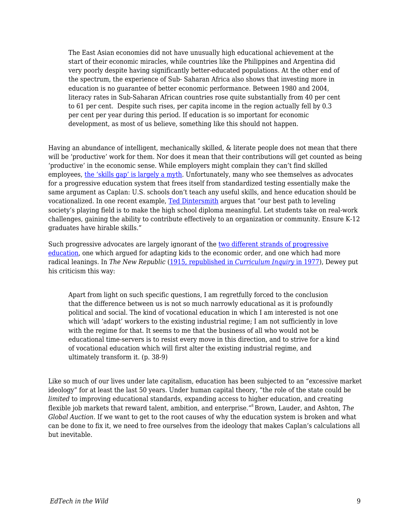The East Asian economies did not have unusually high educational achievement at the start of their economic miracles, while countries like the Philippines and Argentina did very poorly despite having significantly better-educated populations. At the other end of the spectrum, the experience of Sub- Saharan Africa also shows that investing more in education is no guarantee of better economic performance. Between 1980 and 2004, literacy rates in Sub-Saharan African countries rose quite substantially from 40 per cent to 61 per cent. Despite such rises, per capita income in the region actually fell by 0.3 per cent per year during this period. If education is so important for economic development, as most of us believe, something like this should not happen.

Having an abundance of intelligent, mechanically skilled, & literate people does not mean that there will be 'productive' work for them. Nor does it mean that their contributions will get counted as being 'productive' in the economic sense. While employers might complain they can't find skilled employees, [the 'skills gap' is largely a myth](https://www.longviewoneducation.org/political-economy-skills-gap/). Unfortunately, many who see themselves as advocates for a progressive education system that frees itself from standardized testing essentially make the same argument as Caplan: U.S. schools don't teach any useful skills, and hence education should be vocationalized. In one recent example, [Ted Dintersmith](https://press.princeton.edu/titles/11224.html) argues that "our best path to leveling society's playing field is to make the high school diploma meaningful. Let students take on real-work challenges, gaining the ability to contribute effectively to an organization or community. Ensure K-12 graduates have hirable skills."

Such progressive advocates are largely ignorant of the [two different strands of progressive](https://www.longviewoneducation.org/are-we-robbing-students-of-tomorrow/) [education,](https://www.longviewoneducation.org/are-we-robbing-students-of-tomorrow/) one which argued for adapting kids to the economic order, and one which had more radical leanings. In *The New Republic* [\(1915, republished in](http://www.jstor.org/stable/1179397) *[Curriculum Inquiry](http://www.jstor.org/stable/1179397)* [in 1977\)](http://www.jstor.org/stable/1179397), Dewey put his criticism this way:

Apart from light on such specific questions, I am regretfully forced to the conclusion that the difference between us is not so much narrowly educational as it is profoundly political and social. The kind of vocational education in which I am interested is not one which will 'adapt' workers to the existing industrial regime; I am not sufficiently in love with the regime for that. It seems to me that the business of all who would not be educational time-servers is to resist every move in this direction, and to strive for a kind of vocational education which will first alter the existing industrial regime, and ultimately transform it. (p. 38-9)

Like so much of our lives under late capitalism, education has been subjected to an "excessive market ideology" for at least the last 50 years. Under human capital theory, "the role of the state could be *limited* to improving educational standards, expanding access to higher education, and creating flexible job markets that reward talent, ambition, and enterprise."<sup>8</sup>Brown, Lauder, and Ashton, *The Global Auction.* If we want to get to the root causes of why the education system is broken and what can be done to fix it, we need to free ourselves from the ideology that makes Caplan's calculations all but inevitable.